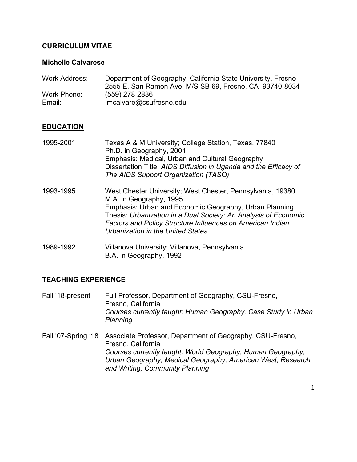## **CURRICULUM VITAE**

#### **Michelle Calvarese**

| Work Address: | Department of Geography, California State University, Fresno |
|---------------|--------------------------------------------------------------|
|               | 2555 E. San Ramon Ave. M/S SB 69, Fresno, CA 93740-8034      |
| Work Phone:   | (559) 278-2836                                               |
| Email:        | mcalvare@csufresno.edu                                       |

### **EDUCATION**

| 1995-2001 | Texas A & M University; College Station, Texas, 77840<br>Ph.D. in Geography, 2001<br>Emphasis: Medical, Urban and Cultural Geography<br>Dissertation Title: AIDS Diffusion in Uganda and the Efficacy of<br>The AIDS Support Organization (TASO)                                                                             |
|-----------|------------------------------------------------------------------------------------------------------------------------------------------------------------------------------------------------------------------------------------------------------------------------------------------------------------------------------|
| 1993-1995 | West Chester University; West Chester, Pennsylvania, 19380<br>M.A. in Geography, 1995<br>Emphasis: Urban and Economic Geography, Urban Planning<br>Thesis: Urbanization in a Dual Society: An Analysis of Economic<br><b>Factors and Policy Structure Influences on American Indian</b><br>Urbanization in the United States |
| 1989-1992 | Villanova University; Villanova, Pennsylvania                                                                                                                                                                                                                                                                                |

B.A. in Geography, 1992

### **TEACHING EXPERIENCE**

- Fall '18-present Full Professor, Department of Geography, CSU-Fresno, Fresno, California *Courses currently taught: Human Geography, Case Study in Urban Planning*
- Fall '07-Spring '18 Associate Professor, Department of Geography, CSU-Fresno, Fresno, California *Courses currently taught: World Geography, Human Geography, Urban Geography, Medical Geography, American West, Research and Writing, Community Planning*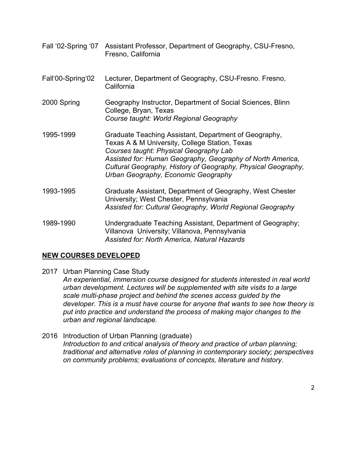- Fall '02-Spring '07 Assistant Professor, Department of Geography, CSU-Fresno, Fresno, California
- Fall'00-Spring'02 Lecturer, Department of Geography, CSU-Fresno. Fresno, California
- 2000 Spring Geography Instructor, Department of Social Sciences, Blinn College, Bryan, Texas *Course taught: World Regional Geography*
- 1995-1999 Graduate Teaching Assistant, Department of Geography, Texas A & M University, College Station, Texas *Courses taught: Physical Geography Lab Assisted for: Human Geography, Geography of North America, Cultural Geography, History of Geography, Physical Geography, Urban Geography, Economic Geography*
- 1993-1995 Graduate Assistant, Department of Geography, West Chester University; West Chester, Pennsylvania *Assisted for: Cultural Geography, World Regional Geography*
- 1989-1990 Undergraduate Teaching Assistant, Department of Geography; Villanova University; Villanova, Pennsylvania *Assisted for: North America, Natural Hazards*

# **NEW COURSES DEVELOPED**

2017 Urban Planning Case Study

*An experiential, immersion course designed for students interested in real world urban development. Lectures will be supplemented with site visits to a large scale multi-phase project and behind the scenes access guided by the developer. This is a must have course for anyone that wants to see how theory is put into practice and understand the process of making major changes to the urban and regional landscape.*

2016 Introduction of Urban Planning (graduate) *Introduction to and critical analysis of theory and practice of urban planning; traditional and alternative roles of planning in contemporary society; perspectives on community problems; evaluations of concepts, literature and history.*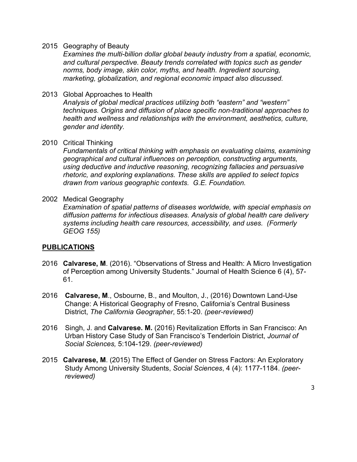2015 Geography of Beauty

*Examines the multi-billion dollar global beauty industry from a spatial, economic, and cultural perspective. Beauty trends correlated with topics such as gender norms, body image, skin color, myths, and health. Ingredient sourcing, marketing, globalization, and regional economic impact also discussed.*

2013 Global Approaches to Health

*Analysis of global medical practices utilizing both "eastern" and "western" techniques. Origins and diffusion of place specific non-traditional approaches to health and wellness and relationships with the environment, aesthetics, culture, gender and identity.*

2010 Critical Thinking

*Fundamentals of critical thinking with emphasis on evaluating claims, examining geographical and cultural influences on perception, constructing arguments, using deductive and inductive reasoning, recognizing fallacies and persuasive rhetoric, and exploring explanations. These skills are applied to select topics drawn from various geographic contexts. G.E. Foundation.*

#### 2002 Medical Geography

*Examination of spatial patterns of diseases worldwide, with special emphasis on diffusion patterns for infectious diseases. Analysis of global health care delivery systems including health care resources, accessibility, and uses. (Formerly GEOG 155)*

### **PUBLICATIONS**

- 2016 **Calvarese, M**. (2016). "Observations of Stress and Health: A Micro Investigation of Perception among University Students." Journal of Health Science 6 (4), 57- 61.
- 2016 **Calvarese, M**., Osbourne, B., and Moulton, J., (2016) Downtown Land-Use Change: A Historical Geography of Fresno, California's Central Business District, *The California Geographer*, 55:1-20. *(peer-reviewed)*
- 2016 Singh, J. and **Calvarese. M.** (2016) Revitalization Efforts in San Francisco: An Urban History Case Study of San Francisco's Tenderloin District, *Journal of Social Sciences,* 5:104-129. *(peer-reviewed)*
- 2015 **Calvarese, M**. (2015) The Effect of Gender on Stress Factors: An Exploratory Study Among University Students, *Social Sciences*, 4 (4): 1177-1184. *(peerreviewed)*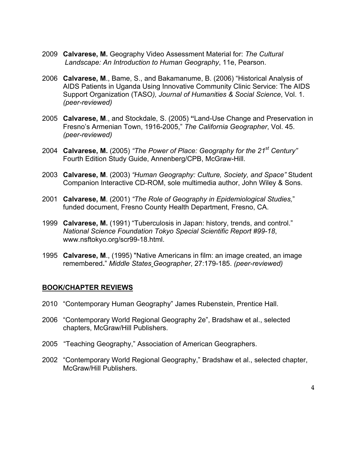- 2009 **Calvarese, M.** Geography Video Assessment Material for: *The Cultural Landscape: An Introduction to Human Geography*, 11e, Pearson.
- 2006 **Calvarese, M**., Bame, S., and Bakamanume, B. (2006) "Historical Analysis of AIDS Patients in Uganda Using Innovative Community Clinic Service: The AIDS Support Organization (TASO*), Journal of Humanities & Social Science*, Vol. 1. *(peer-reviewed)*
- 2005 **Calvarese, M**., and Stockdale, S. (2005) **"**Land-Use Change and Preservation in Fresno's Armenian Town, 1916-2005," *The California Geographer*, Vol. 45. *(peer-reviewed)*
- 2004 **Calvarese, M.** (2005) *"The Power of Place: Geography for the 21st Century"*  Fourth Edition Study Guide, Annenberg/CPB, McGraw-Hill.
- 2003 **Calvarese, M**. (2003) *"Human Geography: Culture, Society, and Space"* Student Companion Interactive CD-ROM, sole multimedia author, John Wiley & Sons.
- 2001 **Calvarese, M**. (2001) *"The Role of Geography in Epidemiological Studies,*" funded document, Fresno County Health Department, Fresno, CA.
- 1999 **Calvarese, M.** (1991) "Tuberculosis in Japan: history, trends, and control." *National Science Foundation Tokyo Special Scientific Report #99-18*, www.nsftokyo.org/scr99-18.html.
- 1995 **Calvarese, M**., (1995) "Native Americans in film: an image created, an image remembered**.**" *Middle States Geographer*, 27:179-185. *(peer-reviewed)*

### **BOOK/CHAPTER REVIEWS**

- 2010 "Contemporary Human Geography" James Rubenstein, Prentice Hall.
- 2006 "Contemporary World Regional Geography 2e", Bradshaw et al., selected chapters, McGraw/Hill Publishers.
- 2005 "Teaching Geography," Association of American Geographers.
- 2002 "Contemporary World Regional Geography," Bradshaw et al., selected chapter, McGraw/Hill Publishers.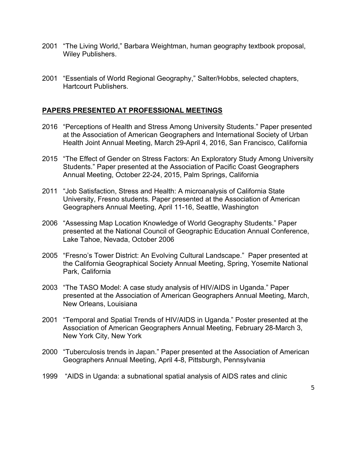- 2001 "The Living World," Barbara Weightman, human geography textbook proposal, Wiley Publishers.
- 2001 "Essentials of World Regional Geography," Salter/Hobbs, selected chapters, Hartcourt Publishers.

# **PAPERS PRESENTED AT PROFESSIONAL MEETINGS**

- 2016 "Perceptions of Health and Stress Among University Students." Paper presented at the Association of American Geographers and International Society of Urban Health Joint Annual Meeting, March 29-April 4, 2016, San Francisco, California
- 2015 "The Effect of Gender on Stress Factors: An Exploratory Study Among University Students." Paper presented at the Association of Pacific Coast Geographers Annual Meeting, October 22-24, 2015, Palm Springs, California
- 2011 "Job Satisfaction, Stress and Health: A microanalysis of California State University, Fresno students. Paper presented at the Association of American Geographers Annual Meeting, April 11-16, Seattle, Washington
- 2006 "Assessing Map Location Knowledge of World Geography Students." Paper presented at the National Council of Geographic Education Annual Conference, Lake Tahoe, Nevada, October 2006
- 2005 "Fresno's Tower District: An Evolving Cultural Landscape." Paper presented at the California Geographical Society Annual Meeting, Spring, Yosemite National Park, California
- 2003 "The TASO Model: A case study analysis of HIV/AIDS in Uganda." Paper presented at the Association of American Geographers Annual Meeting, March, New Orleans, Louisiana
- 2001 "Temporal and Spatial Trends of HIV/AIDS in Uganda." Poster presented at the Association of American Geographers Annual Meeting, February 28-March 3, New York City, New York
- 2000 "Tuberculosis trends in Japan." Paper presented at the Association of American Geographers Annual Meeting, April 4-8, Pittsburgh, Pennsylvania
- 1999 "AIDS in Uganda: a subnational spatial analysis of AIDS rates and clinic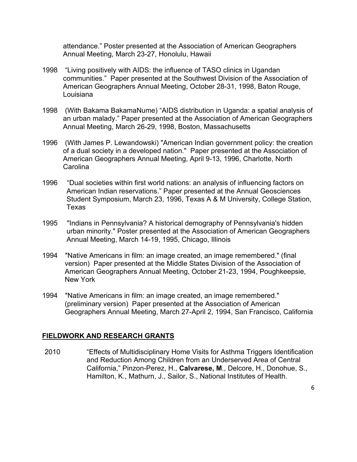attendance." Poster presented at the Association of American Geographers Annual Meeting, March 23-27, Honolulu, Hawaii

- 1998 "Living positively with AIDS: the influence of TASO clinics in Ugandan communities." Paper presented at the Southwest Division of the Association of American Geographers Annual Meeting, October 28-31, 1998, Baton Rouge, Louisiana
- 1998 (With Bakama BakamaNume) "AIDS distribution in Uganda: a spatial analysis of an urban malady." Paper presented at the Association of American Geographers Annual Meeting, March 26-29, 1998, Boston, Massachusetts
- 1996 (With James P. Lewandowski) "American Indian government policy: the creation of a dual society in a developed nation." Paper presented at the Association of American Geographers Annual Meeting, April 9-13, 1996, Charlotte, North **Carolina**
- 1996 "Dual societies within first world nations: an analysis of influencing factors on American Indian reservations." Paper presented at the Annual Geosciences Student Symposium, March 23, 1996, Texas A & M University, College Station, Texas
- 1995 "Indians in Pennsylvania? A historical demography of Pennsylvania's hidden urban minority." Poster presented at the Association of American Geographers Annual Meeting, March 14-19, 1995, Chicago, Illinois
- 1994 "Native Americans in film: an image created, an image remembered." (final version) Paper presented at the Middle States Division of the Association of American Geographers Annual Meeting, October 21-23, 1994, Poughkeepsie, New York
- 1994 "Native Americans in film: an image created, an image remembered." (preliminary version) Paper presented at the Association of American Geographers Annual Meeting, March 27-April 2, 1994, San Francisco, California

### **FIELDWORK AND RESEARCH GRANTS**

2010 "Effects of Multidisciplinary Home Visits for Asthma Triggers Identification and Reduction Among Children from an Underserved Area of Central California," Pinzon-Perez, H., **Calvarese, M**., Delcore, H., Donohue, S., Hamilton, K., Mathurn, J., Sailor, S., National Institutes of Health.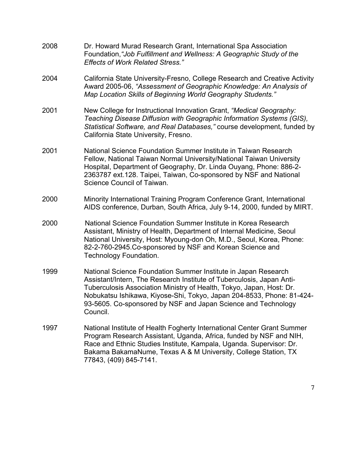- 2008 Dr. Howard Murad Research Grant, International Spa Association Foundation,*"Job Fulfillment and Wellness: A Geographic Study of the Effects of Work Related Stress."*
- 2004 California State University-Fresno, College Research and Creative Activity Award 2005-06, *"Assessment of Geographic Knowledge: An Analysis of Map Location Skills of Beginning World Geography Students."*
- 2001 New College for Instructional Innovation Grant, *"Medical Geography: Teaching Disease Diffusion with Geographic Information Systems (GIS), Statistical Software, and Real Databases,"* course development, funded by California State University, Fresno.
- 2001 National Science Foundation Summer Institute in Taiwan Research Fellow, National Taiwan Normal University/National Taiwan University Hospital, Department of Geography, Dr. Linda Ouyang, Phone: 886-2- 2363787 ext.128. Taipei, Taiwan, Co-sponsored by NSF and National Science Council of Taiwan.
- 2000 Minority International Training Program Conference Grant, International AIDS conference, Durban, South Africa, July 9-14, 2000, funded by MIRT.
- 2000 National Science Foundation Summer Institute in Korea Research Assistant, Ministry of Health, Department of Internal Medicine, Seoul National University, Host: Myoung-don Oh, M.D., Seoul, Korea, Phone: 82-2-760-2945.Co-sponsored by NSF and Korean Science and Technology Foundation.
- 1999 National Science Foundation Summer Institute in Japan Research Assistant/Intern, The Research Institute of Tuberculosis, Japan Anti-Tuberculosis Association Ministry of Health, Tokyo, Japan, Host: Dr. Nobukatsu Ishikawa, Kiyose-Shi, Tokyo, Japan 204-8533, Phone: 81-424- 93-5605. Co-sponsored by NSF and Japan Science and Technology Council.
- 1997 National Institute of Health Fogherty International Center Grant Summer Program Research Assistant, Uganda, Africa, funded by NSF and NIH, Race and Ethnic Studies Institute, Kampala, Uganda. Supervisor: Dr. Bakama BakamaNume, Texas A & M University, College Station, TX 77843, (409) 845-7141.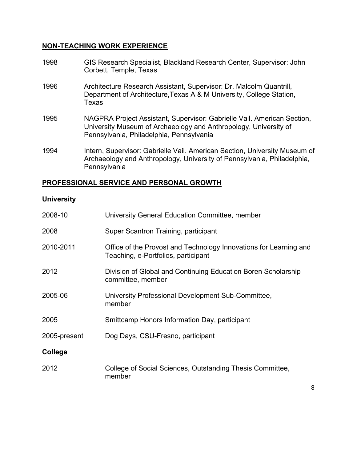### **NON-TEACHING WORK EXPERIENCE**

- 1998 GIS Research Specialist, Blackland Research Center, Supervisor: John Corbett, Temple, Texas
- 1996 Architecture Research Assistant, Supervisor: Dr. Malcolm Quantrill, Department of Architecture,Texas A & M University, College Station, Texas
- 1995 NAGPRA Project Assistant, Supervisor: Gabrielle Vail. American Section, University Museum of Archaeology and Anthropology, University of Pennsylvania, Philadelphia, Pennsylvania
- 1994 Intern, Supervisor: Gabrielle Vail. American Section, University Museum of Archaeology and Anthropology, University of Pennsylvania, Philadelphia, **Pennsylvania**

## **PROFESSIONAL SERVICE AND PERSONAL GROWTH**

## **University**

| 2008-10      | University General Education Committee, member                                                           |
|--------------|----------------------------------------------------------------------------------------------------------|
| 2008         | Super Scantron Training, participant                                                                     |
| 2010-2011    | Office of the Provost and Technology Innovations for Learning and<br>Teaching, e-Portfolios, participant |
| 2012         | Division of Global and Continuing Education Boren Scholarship<br>committee, member                       |
| 2005-06      | University Professional Development Sub-Committee,<br>member                                             |
| 2005         | Smittcamp Honors Information Day, participant                                                            |
| 2005-present | Dog Days, CSU-Fresno, participant                                                                        |
| College      |                                                                                                          |
| 2012         | College of Social Sciences, Outstanding Thesis Committee,<br>member                                      |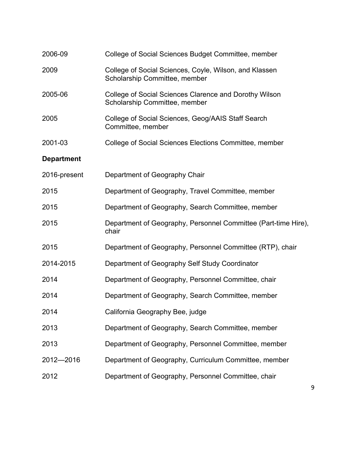| 2006-09           | College of Social Sciences Budget Committee, member                                     |
|-------------------|-----------------------------------------------------------------------------------------|
| 2009              | College of Social Sciences, Coyle, Wilson, and Klassen<br>Scholarship Committee, member |
| 2005-06           | College of Social Sciences Clarence and Dorothy Wilson<br>Scholarship Committee, member |
| 2005              | College of Social Sciences, Geog/AAIS Staff Search<br>Committee, member                 |
| 2001-03           | College of Social Sciences Elections Committee, member                                  |
| <b>Department</b> |                                                                                         |
| 2016-present      | Department of Geography Chair                                                           |
| 2015              | Department of Geography, Travel Committee, member                                       |
| 2015              | Department of Geography, Search Committee, member                                       |
| 2015              | Department of Geography, Personnel Committee (Part-time Hire),<br>chair                 |
| 2015              | Department of Geography, Personnel Committee (RTP), chair                               |
| 2014-2015         | Department of Geography Self Study Coordinator                                          |
| 2014              | Department of Geography, Personnel Committee, chair                                     |
| 2014              | Department of Geography, Search Committee, member                                       |
| 2014              | California Geography Bee, judge                                                         |
| 2013              | Department of Geography, Search Committee, member                                       |
| 2013              | Department of Geography, Personnel Committee, member                                    |
| 2012-2016         | Department of Geography, Curriculum Committee, member                                   |
| 2012              | Department of Geography, Personnel Committee, chair                                     |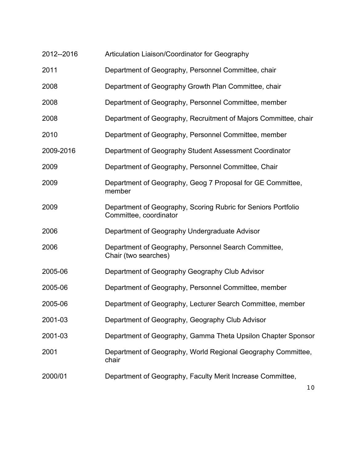| 2012--2016 | Articulation Liaison/Coordinator for Geography                                          |
|------------|-----------------------------------------------------------------------------------------|
| 2011       | Department of Geography, Personnel Committee, chair                                     |
| 2008       | Department of Geography Growth Plan Committee, chair                                    |
| 2008       | Department of Geography, Personnel Committee, member                                    |
| 2008       | Department of Geography, Recruitment of Majors Committee, chair                         |
| 2010       | Department of Geography, Personnel Committee, member                                    |
| 2009-2016  | Department of Geography Student Assessment Coordinator                                  |
| 2009       | Department of Geography, Personnel Committee, Chair                                     |
| 2009       | Department of Geography, Geog 7 Proposal for GE Committee,<br>member                    |
| 2009       | Department of Geography, Scoring Rubric for Seniors Portfolio<br>Committee, coordinator |
| 2006       | Department of Geography Undergraduate Advisor                                           |
| 2006       | Department of Geography, Personnel Search Committee,<br>Chair (two searches)            |
| 2005-06    | Department of Geography Geography Club Advisor                                          |
| 2005-06    | Department of Geography, Personnel Committee, member                                    |
| 2005-06    | Department of Geography, Lecturer Search Committee, member                              |
| 2001-03    | Department of Geography, Geography Club Advisor                                         |
| 2001-03    | Department of Geography, Gamma Theta Upsilon Chapter Sponsor                            |
| 2001       | Department of Geography, World Regional Geography Committee,<br>chair                   |
| 2000/01    | Department of Geography, Faculty Merit Increase Committee,                              |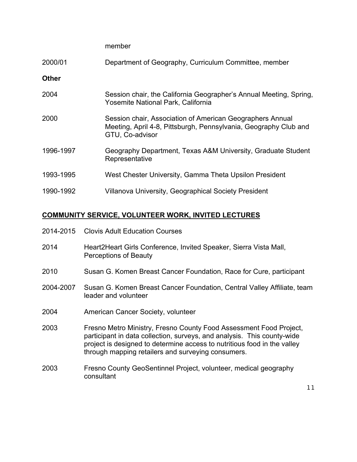member

| 2000/01 | Department of Geography, Curriculum Committee, member |  |  |
|---------|-------------------------------------------------------|--|--|
|         |                                                       |  |  |

**Other**

| 2004      | Session chair, the California Geographer's Annual Meeting, Spring,<br>Yosemite National Park, California                                         |
|-----------|--------------------------------------------------------------------------------------------------------------------------------------------------|
| 2000      | Session chair, Association of American Geographers Annual<br>Meeting, April 4-8, Pittsburgh, Pennsylvania, Geography Club and<br>GTU, Co-advisor |
| 1996-1997 | Geography Department, Texas A&M University, Graduate Student<br>Representative                                                                   |
| 1993-1995 | West Chester University, Gamma Theta Upsilon President                                                                                           |
| 1990-1992 | Villanova University, Geographical Society President                                                                                             |

### **COMMUNITY SERVICE, VOLUNTEER WORK, INVITED LECTURES**

- 2014-2015 Clovis Adult Education Courses
- 2014 Heart2Heart Girls Conference, Invited Speaker, Sierra Vista Mall, Perceptions of Beauty
- 2010 Susan G. Komen Breast Cancer Foundation, Race for Cure, participant
- 2004-2007 Susan G. Komen Breast Cancer Foundation, Central Valley Affiliate, team leader and volunteer
- 2004 American Cancer Society, volunteer
- 2003 Fresno Metro Ministry, Fresno County Food Assessment Food Project, participant in data collection, surveys, and analysis. This county-wide project is designed to determine access to nutritious food in the valley through mapping retailers and surveying consumers.
- 2003 Fresno County GeoSentinnel Project, volunteer, medical geography consultant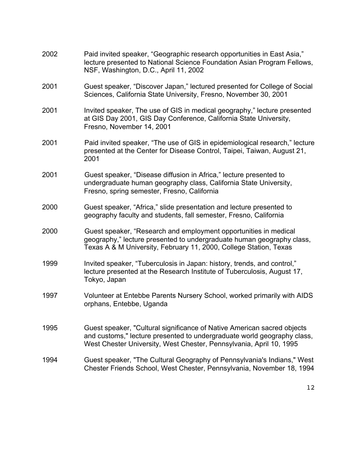| 2002 | Paid invited speaker, "Geographic research opportunities in East Asia,"<br>lecture presented to National Science Foundation Asian Program Fellows,<br>NSF, Washington, D.C., April 11, 2002                               |
|------|---------------------------------------------------------------------------------------------------------------------------------------------------------------------------------------------------------------------------|
| 2001 | Guest speaker, "Discover Japan," lectured presented for College of Social<br>Sciences, California State University, Fresno, November 30, 2001                                                                             |
| 2001 | Invited speaker, The use of GIS in medical geography," lecture presented<br>at GIS Day 2001, GIS Day Conference, California State University,<br>Fresno, November 14, 2001                                                |
| 2001 | Paid invited speaker, "The use of GIS in epidemiological research," lecture<br>presented at the Center for Disease Control, Taipei, Taiwan, August 21,<br>2001                                                            |
| 2001 | Guest speaker, "Disease diffusion in Africa," lecture presented to<br>undergraduate human geography class, California State University,<br>Fresno, spring semester, Fresno, California                                    |
| 2000 | Guest speaker, "Africa," slide presentation and lecture presented to<br>geography faculty and students, fall semester, Fresno, California                                                                                 |
| 2000 | Guest speaker, "Research and employment opportunities in medical<br>geography," lecture presented to undergraduate human geography class,<br>Texas A & M University, February 11, 2000, College Station, Texas            |
| 1999 | Invited speaker, "Tuberculosis in Japan: history, trends, and control,"<br>lecture presented at the Research Institute of Tuberculosis, August 17,<br>Tokyo, Japan                                                        |
| 1997 | Volunteer at Entebbe Parents Nursery School, worked primarily with AIDS<br>orphans, Entebbe, Uganda                                                                                                                       |
| 1995 | Guest speaker, "Cultural significance of Native American sacred objects<br>and customs," lecture presented to undergraduate world geography class,<br>West Chester University, West Chester, Pennsylvania, April 10, 1995 |
| 1994 | Guest speaker, "The Cultural Geography of Pennsylvania's Indians," West<br>Chester Friends School, West Chester, Pennsylvania, November 18, 1994                                                                          |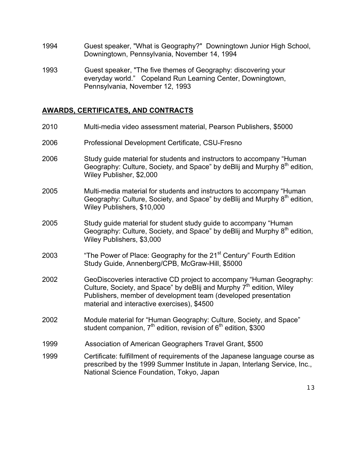- 1994 Guest speaker, "What is Geography?" Downingtown Junior High School, Downingtown, Pennsylvania, November 14, 1994
- 1993 Guest speaker, "The five themes of Geography: discovering your everyday world." Copeland Run Learning Center, Downingtown, Pennsylvania, November 12, 1993

# **AWARDS, CERTIFICATES, AND CONTRACTS**

| 2010 | Multi-media video assessment material, Pearson Publishers, \$5000                                                                                                                                                                                                         |
|------|---------------------------------------------------------------------------------------------------------------------------------------------------------------------------------------------------------------------------------------------------------------------------|
| 2006 | Professional Development Certificate, CSU-Fresno                                                                                                                                                                                                                          |
| 2006 | Study guide material for students and instructors to accompany "Human<br>Geography: Culture, Society, and Space" by deBlij and Murphy 8 <sup>th</sup> edition,<br>Wiley Publisher, \$2,000                                                                                |
| 2005 | Multi-media material for students and instructors to accompany "Human"<br>Geography: Culture, Society, and Space" by deBlij and Murphy 8 <sup>th</sup> edition,<br>Wiley Publishers, \$10,000                                                                             |
| 2005 | Study guide material for student study guide to accompany "Human<br>Geography: Culture, Society, and Space" by deBlij and Murphy 8 <sup>th</sup> edition,<br>Wiley Publishers, \$3,000                                                                                    |
| 2003 | "The Power of Place: Geography for the 21 <sup>st</sup> Century" Fourth Edition<br>Study Guide, Annenberg/CPB, McGraw-Hill, \$5000                                                                                                                                        |
| 2002 | GeoDiscoveries interactive CD project to accompany "Human Geography:<br>Culture, Society, and Space" by deBlij and Murphy 7 <sup>th</sup> edition, Wiley<br>Publishers, member of development team (developed presentation<br>material and interactive exercises), \$4500 |
| 2002 | Module material for "Human Geography: Culture, Society, and Space"<br>student companion, $7th$ edition, revision of $6th$ edition, \$300                                                                                                                                  |
| 1999 | Association of American Geographers Travel Grant, \$500                                                                                                                                                                                                                   |
| 1999 | Certificate: fulfillment of requirements of the Japanese language course as<br>prescribed by the 1999 Summer Institute in Japan, Interlang Service, Inc.,<br>National Science Foundation, Tokyo, Japan                                                                    |
|      |                                                                                                                                                                                                                                                                           |